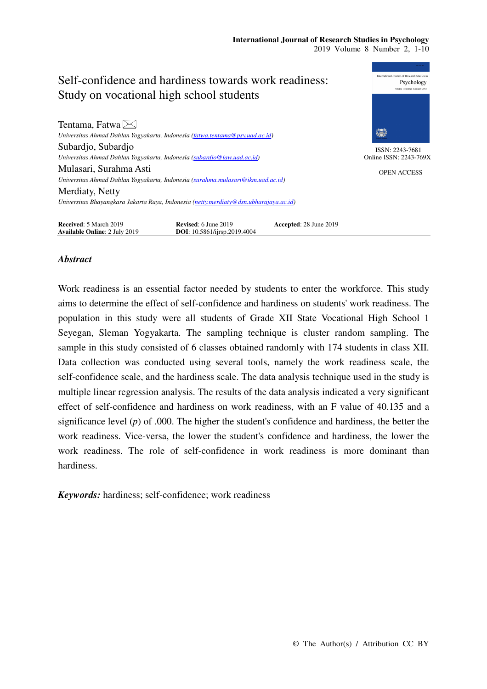

## *Abstract*

Work readiness is an essential factor needed by students to enter the workforce. This study aims to determine the effect of self-confidence and hardiness on students' work readiness. The population in this study were all students of Grade XII State Vocational High School 1 Seyegan, Sleman Yogyakarta. The sampling technique is cluster random sampling. The sample in this study consisted of 6 classes obtained randomly with 174 students in class XII. Data collection was conducted using several tools, namely the work readiness scale, the self-confidence scale, and the hardiness scale. The data analysis technique used in the study is multiple linear regression analysis. The results of the data analysis indicated a very significant effect of self-confidence and hardiness on work readiness, with an F value of 40.135 and a significance level (*p*) of .000. The higher the student's confidence and hardiness, the better the work readiness. Vice-versa, the lower the student's confidence and hardiness, the lower the work readiness. The role of self-confidence in work readiness is more dominant than hardiness.

*Keywords:* hardiness; self-confidence; work readiness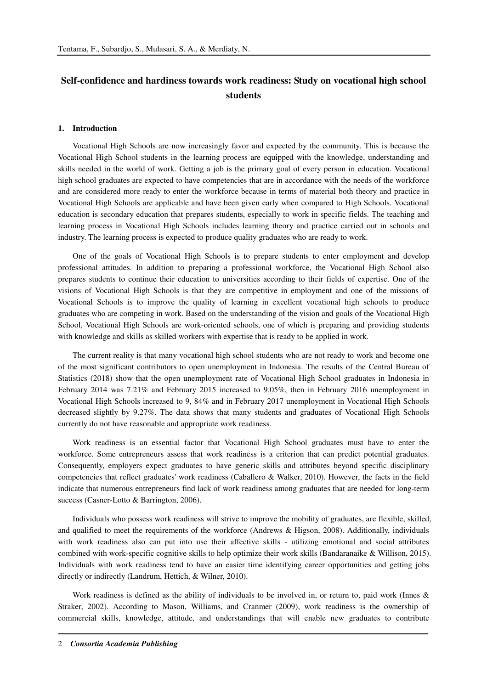# **Self-confidence and hardiness towards work readiness: Study on vocational high school students**

#### **1. Introduction**

Vocational High Schools are now increasingly favor and expected by the community. This is because the Vocational High School students in the learning process are equipped with the knowledge, understanding and skills needed in the world of work. Getting a job is the primary goal of every person in education. Vocational high school graduates are expected to have competencies that are in accordance with the needs of the workforce and are considered more ready to enter the workforce because in terms of material both theory and practice in Vocational High Schools are applicable and have been given early when compared to High Schools. Vocational education is secondary education that prepares students, especially to work in specific fields. The teaching and learning process in Vocational High Schools includes learning theory and practice carried out in schools and industry. The learning process is expected to produce quality graduates who are ready to work.

One of the goals of Vocational High Schools is to prepare students to enter employment and develop professional attitudes. In addition to preparing a professional workforce, the Vocational High School also prepares students to continue their education to universities according to their fields of expertise. One of the visions of Vocational High Schools is that they are competitive in employment and one of the missions of Vocational Schools is to improve the quality of learning in excellent vocational high schools to produce graduates who are competing in work. Based on the understanding of the vision and goals of the Vocational High School, Vocational High Schools are work-oriented schools, one of which is preparing and providing students with knowledge and skills as skilled workers with expertise that is ready to be applied in work.

The current reality is that many vocational high school students who are not ready to work and become one of the most significant contributors to open unemployment in Indonesia. The results of the Central Bureau of Statistics (2018) show that the open unemployment rate of Vocational High School graduates in Indonesia in February 2014 was 7.21% and February 2015 increased to 9.05%, then in February 2016 unemployment in Vocational High Schools increased to 9, 84% and in February 2017 unemployment in Vocational High Schools decreased slightly by 9.27%. The data shows that many students and graduates of Vocational High Schools currently do not have reasonable and appropriate work readiness.

Work readiness is an essential factor that Vocational High School graduates must have to enter the workforce. Some entrepreneurs assess that work readiness is a criterion that can predict potential graduates. Consequently, employers expect graduates to have generic skills and attributes beyond specific disciplinary competencies that reflect graduates' work readiness (Caballero & Walker, 2010). However, the facts in the field indicate that numerous entrepreneurs find lack of work readiness among graduates that are needed for long-term success (Casner-Lotto & Barrington, 2006).

Individuals who possess work readiness will strive to improve the mobility of graduates, are flexible, skilled, and qualified to meet the requirements of the workforce (Andrews & Higson, 2008). Additionally, individuals with work readiness also can put into use their affective skills - utilizing emotional and social attributes combined with work-specific cognitive skills to help optimize their work skills (Bandaranaike & Willison, 2015). Individuals with work readiness tend to have an easier time identifying career opportunities and getting jobs directly or indirectly (Landrum, Hettich, & Wilner, 2010).

Work readiness is defined as the ability of individuals to be involved in, or return to, paid work (Innes & Straker, 2002). According to Mason, Williams, and Cranmer (2009), work readiness is the ownership of commercial skills, knowledge, attitude, and understandings that will enable new graduates to contribute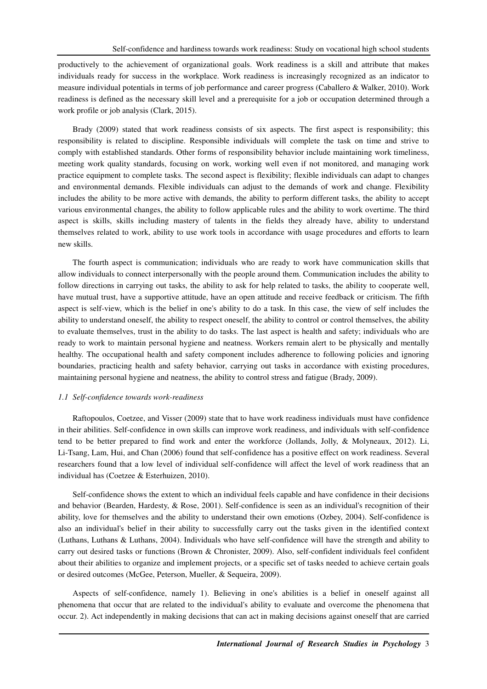productively to the achievement of organizational goals. Work readiness is a skill and attribute that makes individuals ready for success in the workplace. Work readiness is increasingly recognized as an indicator to measure individual potentials in terms of job performance and career progress (Caballero & Walker, 2010). Work readiness is defined as the necessary skill level and a prerequisite for a job or occupation determined through a work profile or job analysis (Clark, 2015).

Brady (2009) stated that work readiness consists of six aspects. The first aspect is responsibility; this responsibility is related to discipline. Responsible individuals will complete the task on time and strive to comply with established standards. Other forms of responsibility behavior include maintaining work timeliness, meeting work quality standards, focusing on work, working well even if not monitored, and managing work practice equipment to complete tasks. The second aspect is flexibility; flexible individuals can adapt to changes and environmental demands. Flexible individuals can adjust to the demands of work and change. Flexibility includes the ability to be more active with demands, the ability to perform different tasks, the ability to accept various environmental changes, the ability to follow applicable rules and the ability to work overtime. The third aspect is skills, skills including mastery of talents in the fields they already have, ability to understand themselves related to work, ability to use work tools in accordance with usage procedures and efforts to learn new skills.

The fourth aspect is communication; individuals who are ready to work have communication skills that allow individuals to connect interpersonally with the people around them. Communication includes the ability to follow directions in carrying out tasks, the ability to ask for help related to tasks, the ability to cooperate well, have mutual trust, have a supportive attitude, have an open attitude and receive feedback or criticism. The fifth aspect is self-view, which is the belief in one's ability to do a task. In this case, the view of self includes the ability to understand oneself, the ability to respect oneself, the ability to control or control themselves, the ability to evaluate themselves, trust in the ability to do tasks. The last aspect is health and safety; individuals who are ready to work to maintain personal hygiene and neatness. Workers remain alert to be physically and mentally healthy. The occupational health and safety component includes adherence to following policies and ignoring boundaries, practicing health and safety behavior, carrying out tasks in accordance with existing procedures, maintaining personal hygiene and neatness, the ability to control stress and fatigue (Brady, 2009).

## *1.1 Self-confidence towards work-readiness*

Raftopoulos, Coetzee, and Visser (2009) state that to have work readiness individuals must have confidence in their abilities. Self-confidence in own skills can improve work readiness, and individuals with self-confidence tend to be better prepared to find work and enter the workforce (Jollands, Jolly, & Molyneaux, 2012). Li, Li-Tsang, Lam, Hui, and Chan (2006) found that self-confidence has a positive effect on work readiness. Several researchers found that a low level of individual self-confidence will affect the level of work readiness that an individual has (Coetzee & Esterhuizen, 2010).

Self-confidence shows the extent to which an individual feels capable and have confidence in their decisions and behavior (Bearden, Hardesty, & Rose, 2001). Self-confidence is seen as an individual's recognition of their ability, love for themselves and the ability to understand their own emotions (Ozbey, 2004). Self-confidence is also an individual's belief in their ability to successfully carry out the tasks given in the identified context (Luthans, Luthans & Luthans, 2004). Individuals who have self-confidence will have the strength and ability to carry out desired tasks or functions (Brown & Chronister, 2009). Also, self-confident individuals feel confident about their abilities to organize and implement projects, or a specific set of tasks needed to achieve certain goals or desired outcomes (McGee, Peterson, Mueller, & Sequeira, 2009).

Aspects of self-confidence, namely 1). Believing in one's abilities is a belief in oneself against all phenomena that occur that are related to the individual's ability to evaluate and overcome the phenomena that occur. 2). Act independently in making decisions that can act in making decisions against oneself that are carried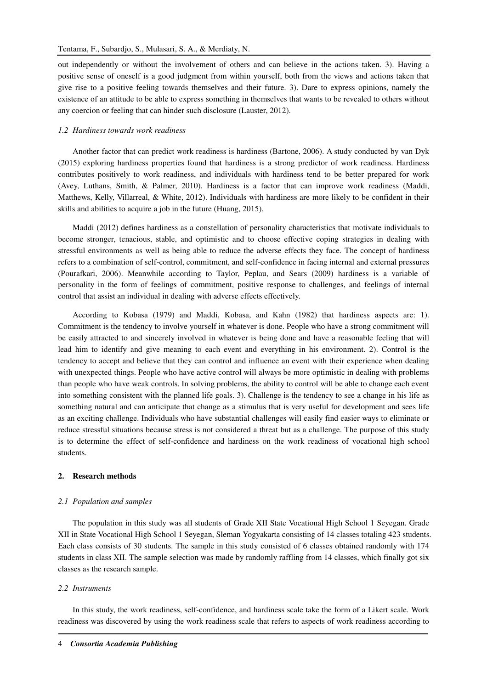out independently or without the involvement of others and can believe in the actions taken. 3). Having a positive sense of oneself is a good judgment from within yourself, both from the views and actions taken that give rise to a positive feeling towards themselves and their future. 3). Dare to express opinions, namely the existence of an attitude to be able to express something in themselves that wants to be revealed to others without any coercion or feeling that can hinder such disclosure (Lauster, 2012).

## *1.2 Hardiness towards work readiness*

Another factor that can predict work readiness is hardiness (Bartone, 2006). A study conducted by van Dyk (2015) exploring hardiness properties found that hardiness is a strong predictor of work readiness. Hardiness contributes positively to work readiness, and individuals with hardiness tend to be better prepared for work (Avey, Luthans, Smith, & Palmer, 2010). Hardiness is a factor that can improve work readiness (Maddi, Matthews, Kelly, Villarreal, & White, 2012). Individuals with hardiness are more likely to be confident in their skills and abilities to acquire a job in the future (Huang, 2015).

Maddi (2012) defines hardiness as a constellation of personality characteristics that motivate individuals to become stronger, tenacious, stable, and optimistic and to choose effective coping strategies in dealing with stressful environments as well as being able to reduce the adverse effects they face. The concept of hardiness refers to a combination of self-control, commitment, and self-confidence in facing internal and external pressures (Pourafkari, 2006). Meanwhile according to Taylor, Peplau, and Sears (2009) hardiness is a variable of personality in the form of feelings of commitment, positive response to challenges, and feelings of internal control that assist an individual in dealing with adverse effects effectively.

According to Kobasa (1979) and Maddi, Kobasa, and Kahn (1982) that hardiness aspects are: 1). Commitment is the tendency to involve yourself in whatever is done. People who have a strong commitment will be easily attracted to and sincerely involved in whatever is being done and have a reasonable feeling that will lead him to identify and give meaning to each event and everything in his environment. 2). Control is the tendency to accept and believe that they can control and influence an event with their experience when dealing with unexpected things. People who have active control will always be more optimistic in dealing with problems than people who have weak controls. In solving problems, the ability to control will be able to change each event into something consistent with the planned life goals. 3). Challenge is the tendency to see a change in his life as something natural and can anticipate that change as a stimulus that is very useful for development and sees life as an exciting challenge. Individuals who have substantial challenges will easily find easier ways to eliminate or reduce stressful situations because stress is not considered a threat but as a challenge. The purpose of this study is to determine the effect of self-confidence and hardiness on the work readiness of vocational high school students.

## **2. Research methods**

#### *2.1 Population and samples*

The population in this study was all students of Grade XII State Vocational High School 1 Seyegan. Grade XII in State Vocational High School 1 Seyegan, Sleman Yogyakarta consisting of 14 classes totaling 423 students. Each class consists of 30 students. The sample in this study consisted of 6 classes obtained randomly with 174 students in class XII. The sample selection was made by randomly raffling from 14 classes, which finally got six classes as the research sample.

## *2.2 Instruments*

In this study, the work readiness, self-confidence, and hardiness scale take the form of a Likert scale. Work readiness was discovered by using the work readiness scale that refers to aspects of work readiness according to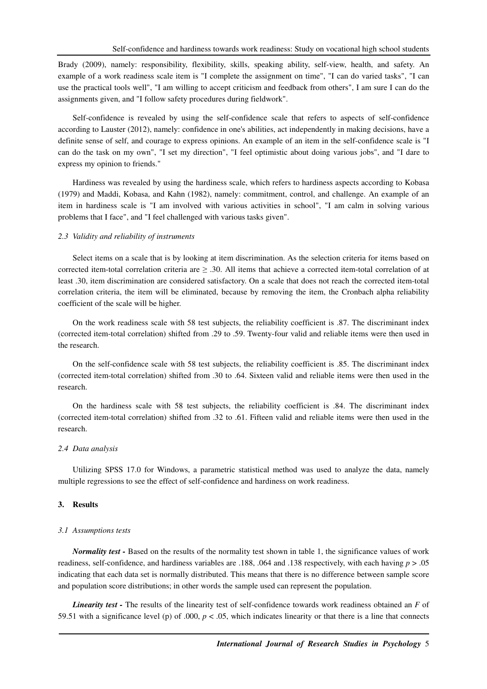Brady (2009), namely: responsibility, flexibility, skills, speaking ability, self-view, health, and safety. An example of a work readiness scale item is "I complete the assignment on time", "I can do varied tasks", "I can use the practical tools well", "I am willing to accept criticism and feedback from others", I am sure I can do the assignments given, and "I follow safety procedures during fieldwork".

Self-confidence is revealed by using the self-confidence scale that refers to aspects of self-confidence according to Lauster (2012), namely: confidence in one's abilities, act independently in making decisions, have a definite sense of self, and courage to express opinions. An example of an item in the self-confidence scale is "I can do the task on my own", "I set my direction", "I feel optimistic about doing various jobs", and "I dare to express my opinion to friends."

Hardiness was revealed by using the hardiness scale, which refers to hardiness aspects according to Kobasa (1979) and Maddi, Kobasa, and Kahn (1982), namely: commitment, control, and challenge. An example of an item in hardiness scale is "I am involved with various activities in school", "I am calm in solving various problems that I face", and "I feel challenged with various tasks given".

#### *2.3 Validity and reliability of instruments*

Select items on a scale that is by looking at item discrimination. As the selection criteria for items based on corrected item-total correlation criteria are  $\geq$  .30. All items that achieve a corrected item-total correlation of at least .30, item discrimination are considered satisfactory. On a scale that does not reach the corrected item-total correlation criteria, the item will be eliminated, because by removing the item, the Cronbach alpha reliability coefficient of the scale will be higher.

On the work readiness scale with 58 test subjects, the reliability coefficient is .87. The discriminant index (corrected item-total correlation) shifted from .29 to .59. Twenty-four valid and reliable items were then used in the research.

On the self-confidence scale with 58 test subjects, the reliability coefficient is .85. The discriminant index (corrected item-total correlation) shifted from .30 to .64. Sixteen valid and reliable items were then used in the research.

On the hardiness scale with 58 test subjects, the reliability coefficient is .84. The discriminant index (corrected item-total correlation) shifted from .32 to .61. Fifteen valid and reliable items were then used in the research.

## *2.4 Data analysis*

Utilizing SPSS 17.0 for Windows, a parametric statistical method was used to analyze the data, namely multiple regressions to see the effect of self-confidence and hardiness on work readiness.

## **3. Results**

#### *3.1 Assumptions tests*

*Normality test -* Based on the results of the normality test shown in table 1, the significance values of work readiness, self-confidence, and hardiness variables are .188, .064 and .138 respectively, with each having *p* > .05 indicating that each data set is normally distributed. This means that there is no difference between sample score and population score distributions; in other words the sample used can represent the population.

*Linearity test -* The results of the linearity test of self-confidence towards work readiness obtained an *F* of 59.51 with a significance level (p) of .000,  $p < .05$ , which indicates linearity or that there is a line that connects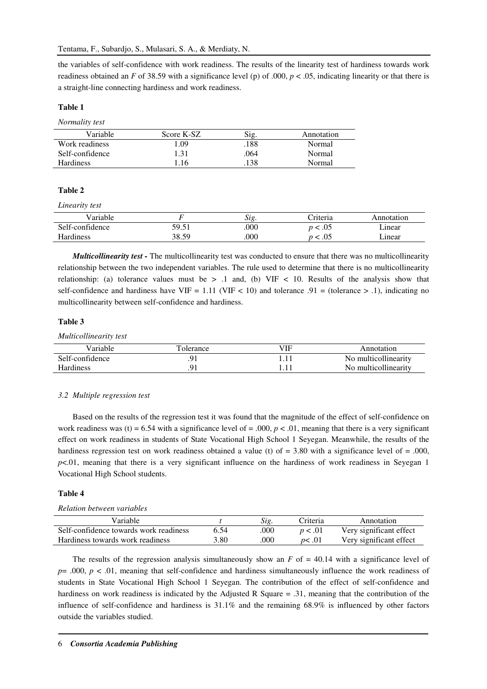the variables of self-confidence with work readiness. The results of the linearity test of hardiness towards work readiness obtained an *F* of 38.59 with a significance level (p) of .000, *p* < .05, indicating linearity or that there is a straight-line connecting hardiness and work readiness.

## **Table 1**

*Normality test* 

| Variable         | Score K-SZ | Sig  | Annotation |
|------------------|------------|------|------------|
| Work readiness   | L.O9       | .188 | Normal     |
| Self-confidence  | 1.31       | .064 | Normal     |
| <b>Hardiness</b> | .16        | .138 | Normal     |

## **Table 2**

*Linearity test* 

| Variable        |       | S12. | :riteria | Annotation |
|-----------------|-------|------|----------|------------|
| Self-confidence | 59.51 | .000 | 05. >    | linear     |
| Hardiness       | 38.59 | .000 | .05      | linear     |

*Multicollinearity test -* The multicollinearity test was conducted to ensure that there was no multicollinearity relationship between the two independent variables. The rule used to determine that there is no multicollinearity relationship: (a) tolerance values must be  $> 0.1$  and, (b) VIF  $< 10$ . Results of the analysis show that self-confidence and hardiness have VIF = 1.11 (VIF < 10) and tolerance .91 = (tolerance > .1), indicating no multicollinearity between self-confidence and hardiness.

## **Table 3**

*Multicollinearity test* 

| Variable         | Tolerance | ЛF | Annotation           |
|------------------|-----------|----|----------------------|
| Self-confidence  |           |    | No multicollinearity |
| <b>Hardiness</b> |           |    | No multicollinearity |

## *3.2 Multiple regression test*

Based on the results of the regression test it was found that the magnitude of the effect of self-confidence on work readiness was (t) = 6.54 with a significance level of = .000,  $p < .01$ , meaning that there is a very significant effect on work readiness in students of State Vocational High School 1 Seyegan. Meanwhile, the results of the hardiness regression test on work readiness obtained a value (t) of = 3.80 with a significance level of = .000, *p*<.01, meaning that there is a very significant influence on the hardiness of work readiness in Seyegan 1 Vocational High School students.

## **Table 4**

## *Relation between variables*

| Variable                               |      | Sig. | Criteria | Annotation              |
|----------------------------------------|------|------|----------|-------------------------|
| Self-confidence towards work readiness | 6.54 | .000 | p < .01  | Very significant effect |
| Hardiness towards work readiness       | 3.80 | .000 | n<.01    | Very significant effect |

The results of the regression analysis simultaneously show an  $F$  of  $= 40.14$  with a significance level of  $p=$  .000,  $p < 0.01$ , meaning that self-confidence and hardiness simultaneously influence the work readiness of students in State Vocational High School 1 Seyegan. The contribution of the effect of self-confidence and hardiness on work readiness is indicated by the Adjusted R Square = .31, meaning that the contribution of the influence of self-confidence and hardiness is 31.1% and the remaining 68.9% is influenced by other factors outside the variables studied.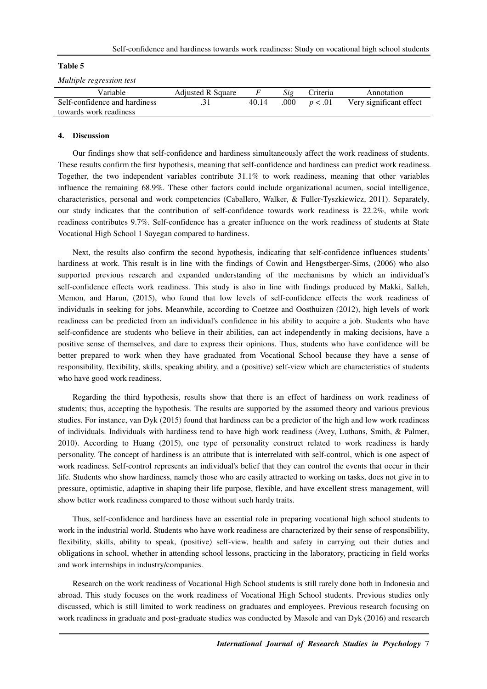## **Table 5**

*Multiple regression test* 

| Variable                      | <b>Adjusted R Square</b> |       | Sig  | Criteria | Annotation              |
|-------------------------------|--------------------------|-------|------|----------|-------------------------|
| Self-confidence and hardiness |                          | 40.14 | .000 | p < .01  | Very significant effect |
| towards work readiness        |                          |       |      |          |                         |

## **4. Discussion**

Our findings show that self-confidence and hardiness simultaneously affect the work readiness of students. These results confirm the first hypothesis, meaning that self-confidence and hardiness can predict work readiness. Together, the two independent variables contribute 31.1% to work readiness, meaning that other variables influence the remaining 68.9%. These other factors could include organizational acumen, social intelligence, characteristics, personal and work competencies (Caballero, Walker, & Fuller-Tyszkiewicz, 2011). Separately, our study indicates that the contribution of self-confidence towards work readiness is 22.2%, while work readiness contributes 9.7%. Self-confidence has a greater influence on the work readiness of students at State Vocational High School 1 Sayegan compared to hardiness.

Next, the results also confirm the second hypothesis, indicating that self-confidence influences students' hardiness at work. This result is in line with the findings of Cowin and Hengstberger-Sims, (2006) who also supported previous research and expanded understanding of the mechanisms by which an individual's self-confidence effects work readiness. This study is also in line with findings produced by Makki, Salleh, Memon, and Harun, (2015), who found that low levels of self-confidence effects the work readiness of individuals in seeking for jobs. Meanwhile, according to Coetzee and Oosthuizen (2012), high levels of work readiness can be predicted from an individual's confidence in his ability to acquire a job. Students who have self-confidence are students who believe in their abilities, can act independently in making decisions, have a positive sense of themselves, and dare to express their opinions. Thus, students who have confidence will be better prepared to work when they have graduated from Vocational School because they have a sense of responsibility, flexibility, skills, speaking ability, and a (positive) self-view which are characteristics of students who have good work readiness.

Regarding the third hypothesis, results show that there is an effect of hardiness on work readiness of students; thus, accepting the hypothesis. The results are supported by the assumed theory and various previous studies. For instance, van Dyk (2015) found that hardiness can be a predictor of the high and low work readiness of individuals. Individuals with hardiness tend to have high work readiness (Avey, Luthans, Smith, & Palmer, 2010). According to Huang (2015), one type of personality construct related to work readiness is hardy personality. The concept of hardiness is an attribute that is interrelated with self-control, which is one aspect of work readiness. Self-control represents an individual's belief that they can control the events that occur in their life. Students who show hardiness, namely those who are easily attracted to working on tasks, does not give in to pressure, optimistic, adaptive in shaping their life purpose, flexible, and have excellent stress management, will show better work readiness compared to those without such hardy traits.

Thus, self-confidence and hardiness have an essential role in preparing vocational high school students to work in the industrial world. Students who have work readiness are characterized by their sense of responsibility, flexibility, skills, ability to speak, (positive) self-view, health and safety in carrying out their duties and obligations in school, whether in attending school lessons, practicing in the laboratory, practicing in field works and work internships in industry/companies.

Research on the work readiness of Vocational High School students is still rarely done both in Indonesia and abroad. This study focuses on the work readiness of Vocational High School students. Previous studies only discussed, which is still limited to work readiness on graduates and employees. Previous research focusing on work readiness in graduate and post-graduate studies was conducted by Masole and van Dyk (2016) and research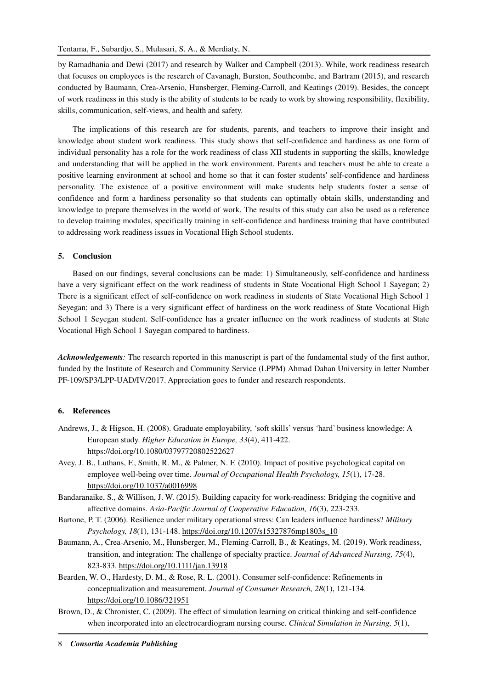by Ramadhania and Dewi (2017) and research by Walker and Campbell (2013). While, work readiness research that focuses on employees is the research of Cavanagh, Burston, Southcombe, and Bartram (2015), and research conducted by Baumann, Crea-Arsenio, Hunsberger, Fleming-Carroll, and Keatings (2019). Besides, the concept of work readiness in this study is the ability of students to be ready to work by showing responsibility, flexibility, skills, communication, self-views, and health and safety.

The implications of this research are for students, parents, and teachers to improve their insight and knowledge about student work readiness. This study shows that self-confidence and hardiness as one form of individual personality has a role for the work readiness of class XII students in supporting the skills, knowledge and understanding that will be applied in the work environment. Parents and teachers must be able to create a positive learning environment at school and home so that it can foster students' self-confidence and hardiness personality. The existence of a positive environment will make students help students foster a sense of confidence and form a hardiness personality so that students can optimally obtain skills, understanding and knowledge to prepare themselves in the world of work. The results of this study can also be used as a reference to develop training modules, specifically training in self-confidence and hardiness training that have contributed to addressing work readiness issues in Vocational High School students.

## **5. Conclusion**

Based on our findings, several conclusions can be made: 1) Simultaneously, self-confidence and hardiness have a very significant effect on the work readiness of students in State Vocational High School 1 Sayegan; 2) There is a significant effect of self-confidence on work readiness in students of State Vocational High School 1 Seyegan; and 3) There is a very significant effect of hardiness on the work readiness of State Vocational High School 1 Seyegan student. Self-confidence has a greater influence on the work readiness of students at State Vocational High School 1 Sayegan compared to hardiness.

*Acknowledgements:* The research reported in this manuscript is part of the fundamental study of the first author, funded by the Institute of Research and Community Service (LPPM) Ahmad Dahan University in letter Number PF-109/SP3/LPP-UAD/IV/2017. Appreciation goes to funder and research respondents.

## **6. References**

- Andrews, J., & Higson, H. (2008). Graduate employability, 'soft skills' versus 'hard' business knowledge: A European study. *Higher Education in Europe, 33*(4), 411-422. https://doi.org/10.1080/03797720802522627
- Avey, J. B., Luthans, F., Smith, R. M., & Palmer, N. F. (2010). Impact of positive psychological capital on employee well-being over time. *Journal of Occupational Health Psychology, 15*(1), 17-28. https://doi.org/10.1037/a0016998
- Bandaranaike, S., & Willison, J. W. (2015). Building capacity for work-readiness: Bridging the cognitive and affective domains. *Asia-Pacific Journal of Cooperative Education, 16*(3), 223-233.
- Bartone, P. T. (2006). Resilience under military operational stress: Can leaders influence hardiness? *Military Psychology, 18*(1), 131-148. https://doi.org/10.1207/s15327876mp1803s\_10
- Baumann, A., Crea‐Arsenio, M., Hunsberger, M., Fleming‐Carroll, B., & Keatings, M. (2019). Work readiness, transition, and integration: The challenge of specialty practice. *Journal of Advanced Nursing, 75*(4), 823-833. https://doi.org/10.1111/jan.13918
- Bearden, W. O., Hardesty, D. M., & Rose, R. L. (2001). Consumer self-confidence: Refinements in conceptualization and measurement. *Journal of Consumer Research, 28*(1), 121-134. https://doi.org/10.1086/321951
- Brown, D., & Chronister, C. (2009). The effect of simulation learning on critical thinking and self-confidence when incorporated into an electrocardiogram nursing course. *Clinical Simulation in Nursing, 5*(1),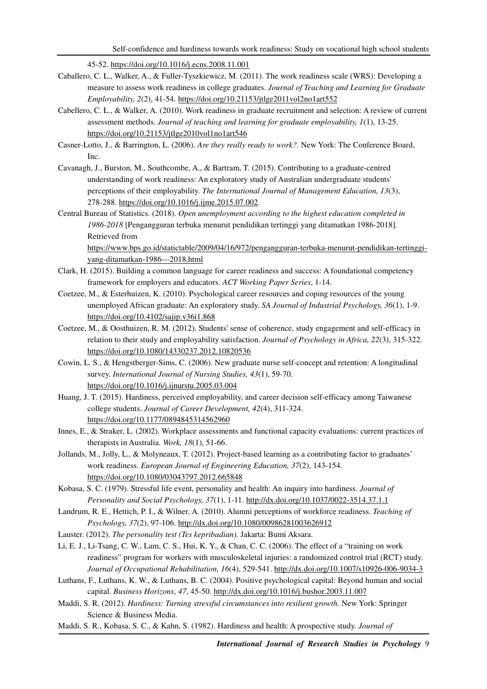45-52. https://doi.org/10.1016/j.ecns.2008.11.001

- Caballero, C. L., Walker, A., & Fuller-Tyszkiewicz, M. (2011). The work readiness scale (WRS): Developing a measure to assess work readiness in college graduates. *Journal of Teaching and Learning for Graduate Employability, 2*(2), 41-54. https://doi.org/10.21153/jtlge2011vol2no1art552
- Cabellero, C. L., & Walker, A. (2010). Work readiness in graduate recruitment and selection: A review of current assessment methods. *Journal of teaching and learning for graduate employability, 1*(1), 13-25. https://doi.org/10.21153/jtlge2010vol1no1art546
- Casner-Lotto, J., & Barrington, L. (2006). *Are they really ready to work?*. New York: The Conference Board, Inc.
- Cavanagh, J., Burston, M., Southcombe, A., & Bartram, T. (2015). Contributing to a graduate-centred understanding of work readiness: An exploratory study of Australian undergraduate students' perceptions of their employability. *The International Journal of Management Education, 13*(3), 278-288. https://doi.org/10.1016/j.ijme.2015.07.002.
- Central Bureau of Statistics. (2018). *Open unemployment according to the highest education completed in 1986-2018* [Pengangguran terbuka menurut pendidikan tertinggi yang ditamatkan 1986-2018]*.* Retrieved from

https://www.bps.go.id/statictable/2009/04/16/972/pengangguran-terbuka-menurut-pendidikan-tertinggiyang-ditamatkan-1986---2018.html

- Clark, H. (2015). Building a common language for career readiness and success: A foundational competency framework for employers and educators. *ACT Working Paper Series*, 1-14.
- Coetzee, M., & Esterhuizen, K. (2010). Psychological career resources and coping resources of the young unemployed African graduate: An exploratory study. *SA Journal of Industrial Psychology, 36*(1), 1-9. https://doi.org/10.4102/sajip.v36i1.868
- Coetzee, M., & Oosthuizen, R. M. (2012). Students' sense of coherence, study engagement and self-efficacy in relation to their study and employability satisfaction. *Journal of Psychology in Africa, 22*(3), 315-322. https://doi.org/10.1080/14330237.2012.10820536
- Cowin, L. S., & Hengstberger-Sims, C. (2006). New graduate nurse self-concept and retention: A longitudinal survey. *International Journal of Nursing Studies, 43*(1), 59-70. https://doi.org/10.1016/j.ijnurstu.2005.03.004
- Huang, J. T. (2015). Hardiness, perceived employability, and career decision self-efficacy among Taiwanese college students. *Journal of Career Development, 42*(4), 311-324. https://doi.org/10.1177/0894845314562960
- Innes, E., & Straker, L. (2002). Workplace assessments and functional capacity evaluations: current practices of therapists in Australia. *Work, 18*(1), 51-66.
- Jollands, M., Jolly, L., & Molyneaux, T. (2012). Project-based learning as a contributing factor to graduates' work readiness. *European Journal of Engineering Education, 37*(2), 143-154. https://doi.org/10.1080/03043797.2012.665848
- Kobasa, S. C. (1979). Stressful life event, personality and health: An inquiry into hardiness. *Journal of Personality and Social Psychology, 37*(1), 1-11. http://dx.doi.org/10.1037/0022-3514.37.1.1
- Landrum, R. E., Hettich, P. I., & Wilner, A. (2010). Alumni perceptions of workforce readiness. *Teaching of Psychology, 37*(2), 97-106. http://dx.doi.org/10.1080/00986281003626912
- Lauster. (2012). *The personality test (Tes kepribadian)*. Jakarta: Bumi Aksara.
- Li, E. J., Li-Tsang, C. W., Lam, C. S., Hui, K. Y., & Chan, C. C. (2006). The effect of a "training on work readiness" program for workers with musculoskeletal injuries: a randomized control trial (RCT) study. *Journal of Occupational Rehabilitation, 16*(4), 529-541. http://dx.doi.org/10.1007/s10926-006-9034-3
- Luthans, F., Luthans, K. W., & Luthans, B. C. (2004). Positive psychological capital: Beyond human and social capital. *Business Horizons*, *47*, 45-50. http://dx.doi.org/10.1016/j.bushor.2003.11.007
- Maddi, S. R. (2012). *Hardiness: Turning stressful circumstances into resilient growth.* New York: Springer Science & Business Media.
- Maddi, S. R., Kobasa, S. C., & Kahn, S. (1982). Hardiness and health: A prospective study. *Journal of*